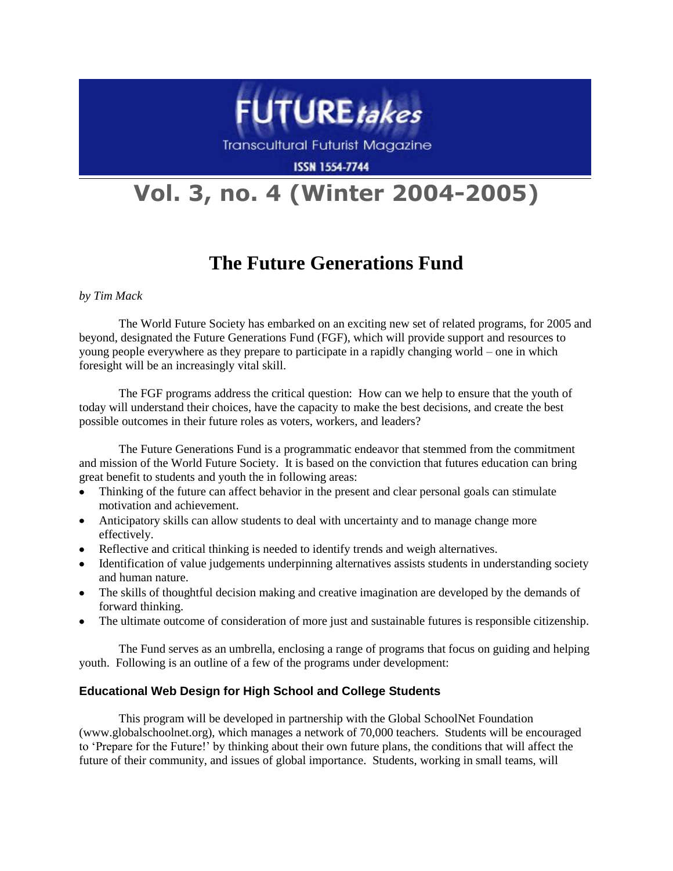

Transcultural Futurist Magazine

**ISSN 1554-7744** 

# **Vol. 3, no. 4 (Winter 2004-2005)**

## **The Future Generations Fund**

*by Tim Mack*

The World Future Society has embarked on an exciting new set of related programs, for 2005 and beyond, designated the Future Generations Fund (FGF), which will provide support and resources to young people everywhere as they prepare to participate in a rapidly changing world – one in which foresight will be an increasingly vital skill.

The FGF programs address the critical question: How can we help to ensure that the youth of today will understand their choices, have the capacity to make the best decisions, and create the best possible outcomes in their future roles as voters, workers, and leaders?

The Future Generations Fund is a programmatic endeavor that stemmed from the commitment and mission of the World Future Society. It is based on the conviction that futures education can bring great benefit to students and youth the in following areas:

- Thinking of the future can affect behavior in the present and clear personal goals can stimulate  $\bullet$ motivation and achievement.
- Anticipatory skills can allow students to deal with uncertainty and to manage change more effectively.
- Reflective and critical thinking is needed to identify trends and weigh alternatives.
- Identification of value judgements underpinning alternatives assists students in understanding society  $\bullet$ and human nature.
- The skills of thoughtful decision making and creative imagination are developed by the demands of  $\bullet$ forward thinking.
- $\bullet$ The ultimate outcome of consideration of more just and sustainable futures is responsible citizenship.

The Fund serves as an umbrella, enclosing a range of programs that focus on guiding and helping youth. Following is an outline of a few of the programs under development:

### **Educational Web Design for High School and College Students**

This program will be developed in partnership with the Global SchoolNet Foundation (www.globalschoolnet.org), which manages a network of 70,000 teachers. Students will be encouraged to "Prepare for the Future!" by thinking about their own future plans, the conditions that will affect the future of their community, and issues of global importance. Students, working in small teams, will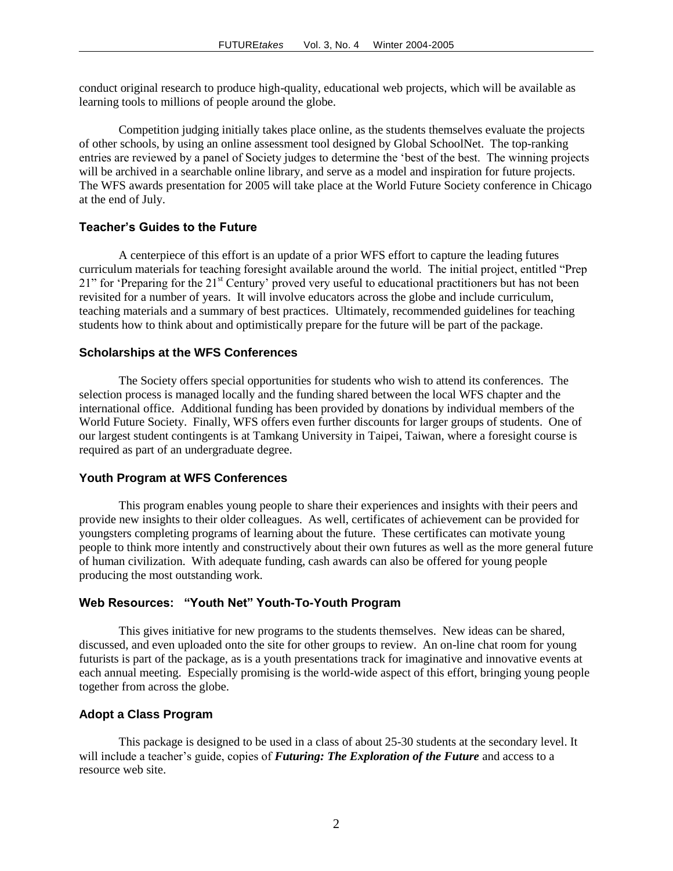conduct original research to produce high-quality, educational web projects, which will be available as learning tools to millions of people around the globe.

Competition judging initially takes place online, as the students themselves evaluate the projects of other schools, by using an online assessment tool designed by Global SchoolNet. The top-ranking entries are reviewed by a panel of Society judges to determine the "best of the best. The winning projects will be archived in a searchable online library, and serve as a model and inspiration for future projects. The WFS awards presentation for 2005 will take place at the World Future Society conference in Chicago at the end of July.

#### **Teacher's Guides to the Future**

A centerpiece of this effort is an update of a prior WFS effort to capture the leading futures curriculum materials for teaching foresight available around the world. The initial project, entitled "Prep 21" for 'Preparing for the 21<sup>st</sup> Century' proved very useful to educational practitioners but has not been revisited for a number of years. It will involve educators across the globe and include curriculum, teaching materials and a summary of best practices. Ultimately, recommended guidelines for teaching students how to think about and optimistically prepare for the future will be part of the package.

#### **Scholarships at the WFS Conferences**

The Society offers special opportunities for students who wish to attend its conferences. The selection process is managed locally and the funding shared between the local WFS chapter and the international office. Additional funding has been provided by donations by individual members of the World Future Society. Finally, WFS offers even further discounts for larger groups of students. One of our largest student contingents is at Tamkang University in Taipei, Taiwan, where a foresight course is required as part of an undergraduate degree.

#### **Youth Program at WFS Conferences**

This program enables young people to share their experiences and insights with their peers and provide new insights to their older colleagues. As well, certificates of achievement can be provided for youngsters completing programs of learning about the future. These certificates can motivate young people to think more intently and constructively about their own futures as well as the more general future of human civilization. With adequate funding, cash awards can also be offered for young people producing the most outstanding work.

#### **Web Resources: "Youth Net" Youth-To-Youth Program**

This gives initiative for new programs to the students themselves. New ideas can be shared, discussed, and even uploaded onto the site for other groups to review. An on-line chat room for young futurists is part of the package, as is a youth presentations track for imaginative and innovative events at each annual meeting. Especially promising is the world-wide aspect of this effort, bringing young people together from across the globe.

#### **Adopt a Class Program**

This package is designed to be used in a class of about 25-30 students at the secondary level. It will include a teacher's guide, copies of *Futuring: The Exploration of the Future* and access to a resource web site.